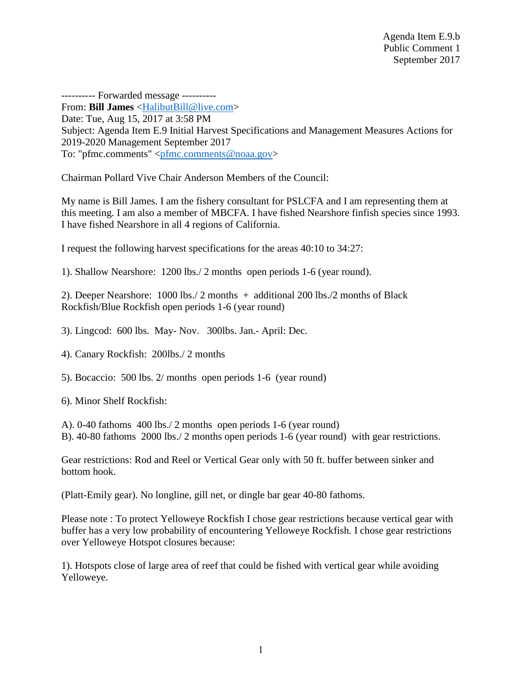---------- Forwarded message ---------- From: **Bill James** [<HalibutBill@live.com>](mailto:HalibutBill@live.com) Date: Tue, Aug 15, 2017 at 3:58 PM Subject: Agenda Item E.9 Initial Harvest Specifications and Management Measures Actions for 2019-2020 Management September 2017 To: "pfmc.comments" [<pfmc.comments@noaa.gov>](mailto:pfmc.comments@noaa.gov)

Chairman Pollard Vive Chair Anderson Members of the Council:

My name is Bill James. I am the fishery consultant for PSLCFA and I am representing them at this meeting. I am also a member of MBCFA. I have fished Nearshore finfish species since 1993. I have fished Nearshore in all 4 regions of California.

I request the following harvest specifications for the areas 40:10 to 34:27:

1). Shallow Nearshore: 1200 lbs./ 2 months open periods 1-6 (year round).

2). Deeper Nearshore: 1000 lbs./ 2 months + additional 200 lbs./2 months of Black Rockfish/Blue Rockfish open periods 1-6 (year round)

3). Lingcod: 600 lbs. May- Nov. 300lbs. Jan.- April: Dec.

4). Canary Rockfish: 200lbs./ 2 months

5). Bocaccio: 500 lbs. 2/ months open periods 1-6 (year round)

6). Minor Shelf Rockfish:

A). 0-40 fathoms 400 lbs./ 2 months open periods 1-6 (year round) B). 40-80 fathoms 2000 lbs./ 2 months open periods 1-6 (year round) with gear restrictions.

Gear restrictions: Rod and Reel or Vertical Gear only with 50 ft. buffer between sinker and bottom hook.

(Platt-Emily gear). No longline, gill net, or dingle bar gear 40-80 fathoms.

Please note : To protect Yelloweye Rockfish I chose gear restrictions because vertical gear with buffer has a very low probability of encountering Yelloweye Rockfish. I chose gear restrictions over Yelloweye Hotspot closures because:

1). Hotspots close of large area of reef that could be fished with vertical gear while avoiding Yelloweye.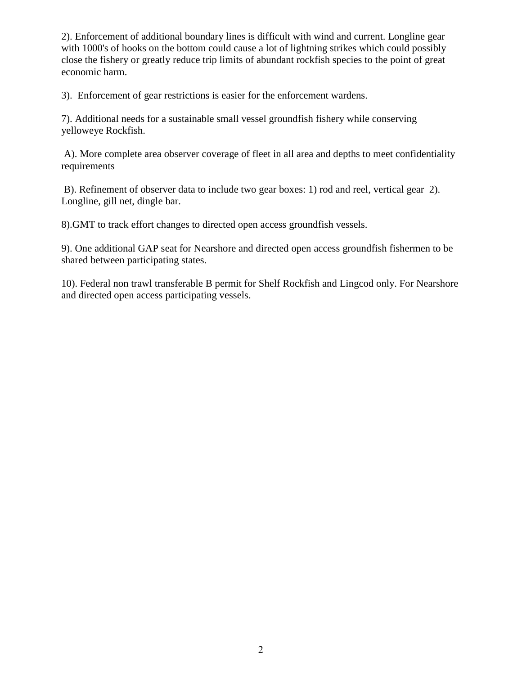2). Enforcement of additional boundary lines is difficult with wind and current. Longline gear with 1000's of hooks on the bottom could cause a lot of lightning strikes which could possibly close the fishery or greatly reduce trip limits of abundant rockfish species to the point of great economic harm.

3). Enforcement of gear restrictions is easier for the enforcement wardens.

7). Additional needs for a sustainable small vessel groundfish fishery while conserving yelloweye Rockfish.

A). More complete area observer coverage of fleet in all area and depths to meet confidentiality requirements

 B). Refinement of observer data to include two gear boxes: 1) rod and reel, vertical gear 2). Longline, gill net, dingle bar.

8).GMT to track effort changes to directed open access groundfish vessels.

9). One additional GAP seat for Nearshore and directed open access groundfish fishermen to be shared between participating states.

10). Federal non trawl transferable B permit for Shelf Rockfish and Lingcod only. For Nearshore and directed open access participating vessels.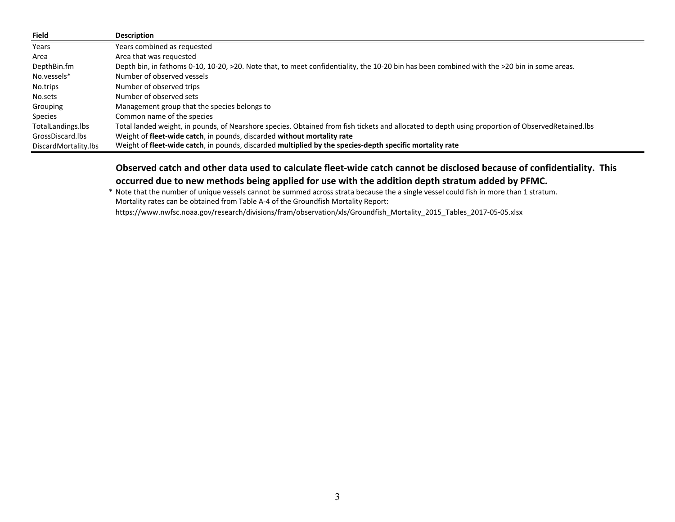| Field                | <b>Description</b>                                                                                                                               |
|----------------------|--------------------------------------------------------------------------------------------------------------------------------------------------|
| Years                | Years combined as requested                                                                                                                      |
| Area                 | Area that was requested                                                                                                                          |
| DepthBin.fm          | Depth bin, in fathoms 0-10, 10-20, >20. Note that, to meet confidentiality, the 10-20 bin has been combined with the >20 bin in some areas.      |
| No.vessels*          | Number of observed vessels                                                                                                                       |
| No.trips             | Number of observed trips                                                                                                                         |
| No.sets              | Number of observed sets                                                                                                                          |
| Grouping             | Management group that the species belongs to                                                                                                     |
| Species              | Common name of the species                                                                                                                       |
| TotalLandings.lbs    | Total landed weight, in pounds, of Nearshore species. Obtained from fish tickets and allocated to depth using proportion of ObservedRetained.lbs |
| GrossDiscard.lbs     | Weight of fleet-wide catch, in pounds, discarded without mortality rate                                                                          |
| DiscardMortality.lbs | Weight of fleet-wide catch, in pounds, discarded multiplied by the species-depth specific mortality rate                                         |

Observed catch and other data used to calculate fleet-wide catch cannot be disclosed because of confidentiality. This **occurred due to new methods being applied for use with the addition depth stratum added by PFMC.**

\* Note that the number of unique vessels cannot be summed across strata because the <sup>a</sup> single vessel could fish in more than 1 stratum. Mortality rates can be obtained from Table A‐4 of the Groundfish Mortality Report:

https://www.nwfsc.noaa.gov/research/divisions/fram/observation/xls/Groundfish\_Mortality\_2015\_Tables\_2017‐05‐05.xlsx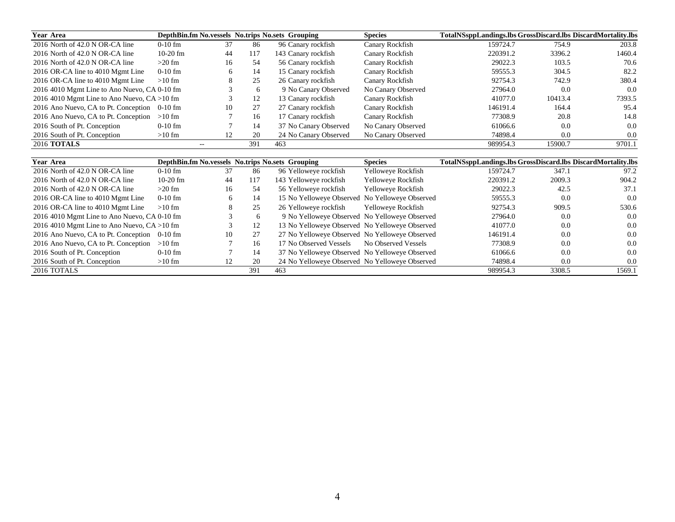| Year Area                                      |            |       |     | DepthBin.fm No. vessels No. trips No. sets Grouping | <b>Species</b>     | TotalNSsppLandings.lbs GrossDiscard.lbs DiscardMortality.lbs |         |        |
|------------------------------------------------|------------|-------|-----|-----------------------------------------------------|--------------------|--------------------------------------------------------------|---------|--------|
| 2016 North of 42.0 N OR-CA line                | $0-10$ fm  | 37    | 86  | 96 Canary rockfish                                  | Canary Rockfish    | 159724.7                                                     | 754.9   | 203.8  |
| 2016 North of 42.0 N OR-CA line                | $10-20$ fm | 44    | 117 | 143 Canary rockfish                                 | Canary Rockfish    | 220391.2                                                     | 3396.2  | 1460.4 |
| 2016 North of 42.0 N OR-CA line                | $>20$ fm   | 16    | 54  | 56 Canary rockfish                                  | Canary Rockfish    | 29022.3                                                      | 103.5   | 70.6   |
| 2016 OR-CA line to 4010 Mgmt Line              | $0-10$ fm  | 6     | 14  | 15 Canary rockfish                                  | Canary Rockfish    | 59555.3                                                      | 304.5   | 82.2   |
| 2016 OR-CA line to 4010 Mgmt Line              | $>10$ fm   | 8     | 25  | 26 Canary rockfish                                  | Canary Rockfish    | 92754.3                                                      | 742.9   | 380.4  |
| 2016 4010 Mgmt Line to Ano Nuevo, CA 0-10 fm   |            |       | 6   | 9 No Canary Observed                                | No Canary Observed | 27964.0                                                      | 0.0     | 0.0    |
| 2016 4010 Mgmt Line to Ano Nuevo, $CA > 10$ fm |            |       | 12  | 13 Canary rockfish                                  | Canary Rockfish    | 41077.0                                                      | 10413.4 | 7393.5 |
| 2016 Ano Nuevo, CA to Pt. Conception 0-10 fm   |            | 10    | 27  | 27 Canary rockfish                                  | Canary Rockfish    | 146191.4                                                     | 164.4   | 95.4   |
| 2016 Ano Nuevo, CA to Pt. Conception $>10$ fm  |            |       | 16  | 17 Canary rockfish                                  | Canary Rockfish    | 77308.9                                                      | 20.8    | 14.8   |
| 2016 South of Pt. Conception                   | $0-10$ fm  |       | 14  | 37 No Canary Observed                               | No Canary Observed | 61066.6                                                      | 0.0     | 0.0    |
| 2016 South of Pt. Conception                   | $>10$ fm   | 12    | 20  | 24 No Canary Observed                               | No Canary Observed | 74898.4                                                      | 0.0     | 0.0    |
| <b>2016 TOTALS</b>                             |            | $- -$ | 391 | 463                                                 |                    | 989954.3                                                     | 15900.7 | 9701.1 |

| Year Area                                      |            |              |     | DepthBin.fm No. vessels No. trips No. sets Grouping | <b>Species</b>      | TotalNSsppLandings.lbs GrossDiscard.lbs DiscardMortality.lbs |        |               |
|------------------------------------------------|------------|--------------|-----|-----------------------------------------------------|---------------------|--------------------------------------------------------------|--------|---------------|
| 2016 North of 42.0 N OR-CA line                | $0-10$ fm  | 37           | 86  | 96 Yelloweye rockfish                               | Yelloweye Rockfish  | 159724.7                                                     | 347.1  | 97.2          |
| 2016 North of 42.0 N OR-CA line                | $10-20$ fm | 44           | 117 | 143 Yelloweye rockfish                              | Yelloweye Rockfish  | 220391.2                                                     | 2009.3 | 904.2         |
| 2016 North of 42.0 N OR-CA line                | $>20$ fm   | 16           | 54  | 56 Yelloweye rockfish                               | Yelloweye Rockfish  | 29022.3                                                      | 42.5   | 37.1          |
| 2016 OR-CA line to 4010 Mgmt Line              | $0-10$ fm  | <sub>0</sub> | 14  | 15 No Yelloweye Observed No Yelloweye Observed      |                     | 59555.3                                                      | 0.0    | 0.0           |
| 2016 OR-CA line to 4010 Mgmt Line              | $>10$ fm   | ∧            | 25  | 26 Yelloweye rockfish                               | Yelloweye Rockfish  | 92754.3                                                      | 909.5  | 530.6         |
| 2016 4010 Mgmt Line to Ano Nuevo, CA 0-10 fm   |            |              | 6   | 9 No Yelloweye Observed No Yelloweye Observed       |                     | 27964.0                                                      | 0.0    | 0.0           |
| 2016 4010 Mgmt Line to Ano Nuevo, $CA > 10$ fm |            |              | 12  | 13 No Yelloweye Observed No Yelloweye Observed      |                     | 41077.0                                                      | 0.0    | 0.0           |
| 2016 Ano Nuevo, CA to Pt. Conception 0-10 fm   |            | 10           | 27  | 27 No Yelloweye Observed No Yelloweye Observed      |                     | 146191.4                                                     | 0.0    | 0.0           |
| 2016 Ano Nuevo, CA to Pt. Conception $>10$ fm  |            |              | 16  | 17 No Observed Vessels                              | No Observed Vessels | 77308.9                                                      | 0.0    | $0.0^{\circ}$ |
| 2016 South of Pt. Conception                   | $0-10$ fm  |              | 14  | 37 No Yelloweye Observed No Yelloweye Observed      |                     | 61066.6                                                      | 0.0    | 0.0           |
| 2016 South of Pt. Conception                   | $>10$ fm   | 12           | 20  | 24 No Yelloweye Observed No Yelloweye Observed      |                     | 74898.4                                                      | 0.0    | 0.0           |
| 2016 TOTALS                                    |            |              | 391 | 463                                                 |                     | 989954.3                                                     | 3308.5 | 1569.1        |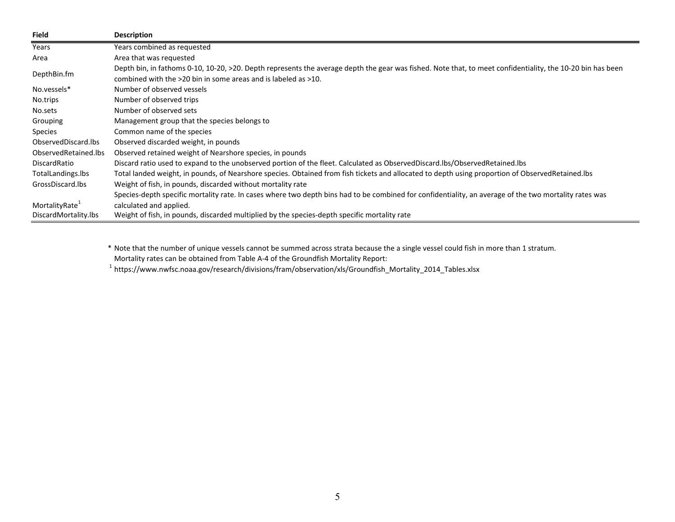| <b>Field</b>               | <b>Description</b>                                                                                                                                         |
|----------------------------|------------------------------------------------------------------------------------------------------------------------------------------------------------|
| Years                      | Years combined as requested                                                                                                                                |
| Area                       | Area that was requested                                                                                                                                    |
|                            | Depth bin, in fathoms 0-10, 10-20, >20. Depth represents the average depth the gear was fished. Note that, to meet confidentiality, the 10-20 bin has been |
| DepthBin.fm                | combined with the $>20$ bin in some areas and is labeled as $>10$ .                                                                                        |
| No.vessels*                | Number of observed vessels                                                                                                                                 |
| No.trips                   | Number of observed trips                                                                                                                                   |
| No.sets                    | Number of observed sets                                                                                                                                    |
| Grouping                   | Management group that the species belongs to                                                                                                               |
| <b>Species</b>             | Common name of the species                                                                                                                                 |
| ObservedDiscard.lbs        | Observed discarded weight, in pounds                                                                                                                       |
| ObservedRetained.lbs       | Observed retained weight of Nearshore species, in pounds                                                                                                   |
| DiscardRatio               | Discard ratio used to expand to the unobserved portion of the fleet. Calculated as ObservedDiscard.lbs/ObservedRetained.lbs                                |
| TotalLandings.lbs          | Total landed weight, in pounds, of Nearshore species. Obtained from fish tickets and allocated to depth using proportion of ObservedRetained.lbs           |
| GrossDiscard.lbs           | Weight of fish, in pounds, discarded without mortality rate                                                                                                |
|                            | Species-depth specific mortality rate. In cases where two depth bins had to be combined for confidentiality, an average of the two mortality rates was     |
| MortalityRate <sup>+</sup> | calculated and applied.                                                                                                                                    |
| DiscardMortality.lbs       | Weight of fish, in pounds, discarded multiplied by the species-depth specific mortality rate                                                               |

\* Note that the number of unique vessels cannot be summed across strata because the <sup>a</sup> single vessel could fish in more than 1 stratum. Mortality rates can be obtained from Table A‐4 of the Groundfish Mortality Report:

1 https://www.nwfsc.noaa.gov/research/divisions/fram/observation/xls/Groundfish\_Mortality\_2014\_Tables.xlsx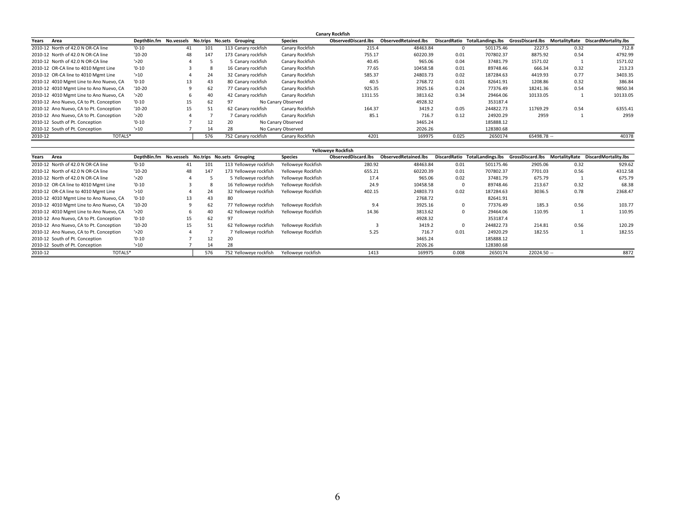|                                         |          |    |      |                                                  |                    | <b>Canary Rockfish</b>     |                             |       |           |              |      |                                                                                    |
|-----------------------------------------|----------|----|------|--------------------------------------------------|--------------------|----------------------------|-----------------------------|-------|-----------|--------------|------|------------------------------------------------------------------------------------|
| Years<br>Area                           |          |    |      | DepthBin.fm No.vessels No.trips No.sets Grouping | <b>Species</b>     | <b>ObservedDiscard.lbs</b> | <b>ObservedRetained.lbs</b> |       |           |              |      | DiscardRatio TotalLandings.lbs GrossDiscard.lbs MortalityRate DiscardMortality.lbs |
| 2010-12 North of 42.0 N OR-CA line      | $'0-10'$ | 41 | 101  | 113 Canary rockfish                              | Canary Rockfish    | 215.4                      | 48463.84                    |       | 501175.46 | 2227.5       | 0.32 | 712.8                                                                              |
| 2010-12 North of 42.0 N OR-CA line      | $'10-20$ | 48 | 147  | 173 Canary rockfish                              | Canary Rockfish    | 755.17                     | 60220.39                    | 0.01  | 707802.37 | 8875.92      | 0.54 | 4792.99                                                                            |
| 2010-12 North of 42.0 N OR-CA line      | $'$ >20  |    |      | 5 Canary rockfish                                | Canary Rockfish    | 40.45                      | 965.06                      | 0.04  | 37481.79  | 1571.02      |      | 1571.02                                                                            |
| 2010-12 OR-CA line to 4010 Mgmt Line    | $'0-10'$ |    | - 25 | 16 Canary rockfish                               | Canary Rockfish    | 77.65                      | 10458.58                    | 0.01  | 89748.46  | 666.34       | 0.32 | 213.23                                                                             |
| 2010-12 OR-CA line to 4010 Mgmt Line    | $'$ >10  |    | 24   | 32 Canary rockfish                               | Canary Rockfish    | 585.37                     | 24803.73                    | 0.02  | 187284.63 | 4419.93      | 0.77 | 3403.35                                                                            |
| 2010-12 4010 Mgmt Line to Ano Nuevo, CA | $'0-10'$ | 13 | 43   | 80 Canary rockfish                               | Canary Rockfish    | 40.5                       | 2768.72                     | 0.01  | 82641.91  | 1208.86      | 0.32 | 386.84                                                                             |
| 2010-12 4010 Mgmt Line to Ano Nuevo, CA | $'10-20$ |    | 62   | 77 Canary rockfish                               | Canary Rockfish    | 925.35                     | 3925.16                     | 0.24  | 77376.49  | 18241.36     | 0.54 | 9850.34                                                                            |
| 2010-12 4010 Mgmt Line to Ano Nuevo, CA | 520      |    | 40   | 42 Canary rockfish                               | Canary Rockfish    | 1311.55                    | 3813.62                     | 0.34  | 29464.06  | 10133.05     |      | 10133.05                                                                           |
| 2010-12 Ano Nuevo, CA to Pt. Conception | $'0-10'$ | 15 | 62   | 97                                               | No Canary Observed |                            | 4928.32                     |       | 353187.4  |              |      |                                                                                    |
| 2010-12 Ano Nuevo, CA to Pt. Conception | $'10-20$ | 15 | 51   | 62 Canary rockfish                               | Canary Rockfish    | 164.37                     | 3419.2                      | 0.05  | 244822.73 | 11769.29     | 0.54 | 6355.41                                                                            |
| 2010-12 Ano Nuevo, CA to Pt. Conception | $'$ >20  |    |      | 7 Canary rockfish                                | Canary Rockfish    | 85.1                       | 716.7                       | 0.12  | 24920.29  | 2959         |      | 2959                                                                               |
| 2010-12 South of Pt. Conception         | $'0-10'$ |    | 12   | 20                                               | No Canary Observed |                            | 3465.24                     |       | 185888.12 |              |      |                                                                                    |
| 2010-12 South of Pt. Conception         | $'$ >10  |    | 14   | 28                                               | No Canary Observed |                            | 2026.26                     |       | 128380.68 |              |      |                                                                                    |
| 2010-12<br>TOTALS*                      |          |    | 576  | 752 Canary rockfish                              | Canary Rockfish    | 4201                       | 169975                      | 0.025 | 2650174   | $65498.78 -$ |      | 40378                                                                              |

|                                         |          |    |     |                                                  |                    | Yelloweve Rockfish  |                             |          |           |              |      |                                                                                    |
|-----------------------------------------|----------|----|-----|--------------------------------------------------|--------------------|---------------------|-----------------------------|----------|-----------|--------------|------|------------------------------------------------------------------------------------|
| Years<br>Area                           |          |    |     | DepthBin.fm No.vessels No.trips No.sets Grouping | <b>Species</b>     | ObservedDiscard.lbs | <b>ObservedRetained.lbs</b> |          |           |              |      | DiscardRatio TotalLandings.lbs GrossDiscard.lbs MortalityRate DiscardMortality.lbs |
| 2010-12 North of 42.0 N OR-CA line      | $'0-10$  | 41 | 101 | 113 Yelloweve rockfish                           | Yelloweve Rockfish | 280.92              | 48463.84                    | 0.01     | 501175.46 | 2905.06      | 0.32 | 929.62                                                                             |
| 2010-12 North of 42.0 N OR-CA line      | $'10-20$ | 48 | 147 | 173 Yelloweye rockfish                           | Yelloweye Rockfish | 655.21              | 60220.39                    | 0.01     | 707802.37 | 7701.03      | 0.56 | 4312.58                                                                            |
| 2010-12 North of 42.0 N OR-CA line      | 520      |    |     | 5 Yelloweve rockfish                             | Yelloweve Rockfish | 17.4                | 965.06                      | 0.02     | 37481.79  | 675.79       |      | 675.79                                                                             |
| 2010-12 OR-CA line to 4010 Mgmt Line    | $'0-10'$ |    |     | 16 Yelloweve rockfish                            | Yelloweve Rockfish | 24.9                | 10458.58                    | $\Omega$ | 89748.46  | 213.67       | 0.32 | 68.38                                                                              |
| 2010-12 OR-CA line to 4010 Mgmt Line    | $'$ >10  |    | 24  | 32 Yelloweve rockfish                            | Yelloweve Rockfish | 402.15              | 24803.73                    | 0.02     | 187284.63 | 3036.5       | 0.78 | 2368.47                                                                            |
| 2010-12 4010 Mgmt Line to Ano Nuevo, CA | $'0-10'$ | 13 | 43  | 80                                               |                    |                     | 2768.72                     |          | 82641.91  |              |      |                                                                                    |
| 2010-12 4010 Mgmt Line to Ano Nuevo, CA | $'10-20$ |    | 62  | 77 Yelloweve rockfish                            | Yelloweye Rockfish | 9.4                 | 3925.16                     | $\Omega$ | 77376.49  | 185.3        | 0.56 | 103.77                                                                             |
| 2010-12 4010 Mgmt Line to Ano Nuevo, CA | 520'     |    | 40  | 42 Yelloweve rockfish                            | Yelloweye Rockfish | 14.36               | 3813.62                     | $\Omega$ | 29464.06  | 110.95       |      | 110.95                                                                             |
| 2010-12 Ano Nuevo, CA to Pt. Conception | $'0-10'$ | 15 | 62  | 97                                               |                    |                     | 4928.32                     |          | 353187.4  |              |      |                                                                                    |
| 2010-12 Ano Nuevo, CA to Pt. Conception | $'10-20$ | 15 | 51  | 62 Yelloweve rockfish                            | Yelloweve Rockfish |                     | 3419.2                      | $\Omega$ | 244822.73 | 214.81       | 0.56 | 120.29                                                                             |
| 2010-12 Ano Nuevo, CA to Pt. Conception | 520      |    |     | 7 Yelloweye rockfish                             | Yelloweye Rockfish | 5.25                | 716.7                       | 0.01     | 24920.29  | 182.55       |      | 182.55                                                                             |
| 2010-12 South of Pt. Conception         | $'0-10$  |    | 12  | 20                                               |                    |                     | 3465.24                     |          | 185888.12 |              |      |                                                                                    |
| 2010-12 South of Pt. Conception         | $'$ >10  |    |     | 28                                               |                    |                     | 2026.26                     |          | 128380.68 |              |      |                                                                                    |
| TOTALS*<br>2010-12                      |          |    | 576 | 752 Yelloweve rockfish                           | Yelloweye rockfish | 1413                | 169975                      | 0.008    | 2650174   | $22024.50 -$ |      | 8872                                                                               |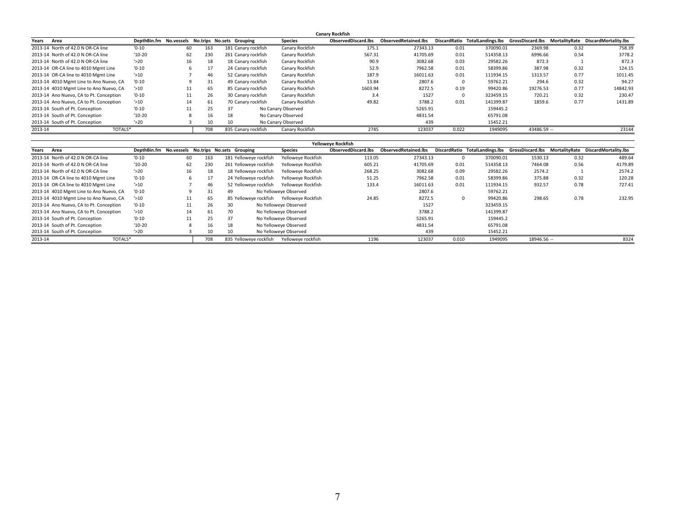|         |                                         |                                                  |     |     |    |                     |                    | <b>Canary Rockfish</b> |                             |       |           |             |      |                                                                                    |
|---------|-----------------------------------------|--------------------------------------------------|-----|-----|----|---------------------|--------------------|------------------------|-----------------------------|-------|-----------|-------------|------|------------------------------------------------------------------------------------|
| Years   | Area                                    | DepthBin.fm No.vessels No.trips No.sets Grouping |     |     |    |                     | <b>Species</b>     | ObservedDiscard.lbs    | <b>ObservedRetained.lbs</b> |       |           |             |      | DiscardRatio TotalLandings.lbs GrossDiscard.lbs MortalityRate DiscardMortality.lbs |
|         | 2013-14 North of 42.0 N OR-CA line      | $'0-10'$                                         | -60 | 163 |    | 181 Canary rockfish | Canary Rockfish    | 175.1                  | 27343.13                    | 0.01  | 370090.01 | 2369.98     | 0.32 | 758.39                                                                             |
|         | 2013-14 North of 42.0 N OR-CA line      | $'10-20$                                         | 62  | 230 |    | 261 Canary rockfish | Canary Rockfish    | 567.31                 | 41705.69                    | 0.01  | 514358.13 | 6996.66     | 0.54 | 3778.2                                                                             |
|         | 2013-14 North of 42.0 N OR-CA line      | $'$ >20                                          | 16  | 18  |    | 18 Canary rockfish  | Canary Rockfish    | 90.9                   | 3082.68                     | 0.03  | 29582.26  | 872.3       |      | 872.3                                                                              |
|         | 2013-14 OR-CA line to 4010 Mgmt Line    | $'0-10'$                                         |     | 17  |    | 24 Canary rockfish  | Canary Rockfish    | 52.9                   | 7962.58                     | 0.01  | 58399.86  | 387.98      | 0.32 | 124.15                                                                             |
|         | 2013-14 OR-CA line to 4010 Mgmt Line    | $'$ >10                                          |     | 46  |    | 52 Canary rockfish  | Canary Rockfish    | 187.9                  | 16011.63                    | 0.01  | 111934.15 | 1313.57     | 0.77 | 1011.45                                                                            |
|         | 2013-14 4010 Mgmt Line to Ano Nuevo, CA | $'0-10'$                                         |     | 31  |    | 49 Canary rockfish  | Canary Rockfish    | 13.84                  | 2807.6                      |       | 59762.21  | 294.6       | 0.32 | 94.27                                                                              |
|         | 2013-14 4010 Mgmt Line to Ano Nuevo, CA | $^{\prime}$ > 10                                 |     | 65  |    | 85 Canary rockfish  | Canary Rockfish    | 1603.94                | 8272.5                      | 0.19  | 99420.86  | 19276.53    | 0.77 | 14842.93                                                                           |
|         | 2013-14 Ano Nuevo, CA to Pt. Conception | $'0-10'$                                         | 11  | 26  |    | 30 Canary rockfish  | Canary Rockfish    | 3.4                    | 1527                        |       | 323459.15 | 720.21      | 0.32 | 230.47                                                                             |
|         | 2013-14 Ano Nuevo, CA to Pt. Conception | $'$ >10                                          | 14  | 61  |    | 70 Canary rockfish  | Canary Rockfish    | 49.82                  | 3788.2                      | 0.01  | 141399.87 | 1859.6      | 0.77 | 1431.89                                                                            |
|         | 2013-14 South of Pt. Conception         | $'0-10'$                                         | 11  | 25  | 37 |                     | No Canary Observed |                        | 5265.91                     |       | 159445.2  |             |      |                                                                                    |
|         | 2013-14 South of Pt. Conception         | $'10-20$                                         | 8   | 16  | 18 |                     | No Canary Observed |                        | 4831.54                     |       | 65791.08  |             |      |                                                                                    |
|         | 2013-14 South of Pt. Conception         | $'$ >20                                          |     | 10  |    |                     | No Canary Observed |                        | 439                         |       | 15452.21  |             |      |                                                                                    |
| 2013-14 | TOTALS*                                 |                                                  |     | 708 |    | 835 Canary rockfish | Canary Rockfish    | 2745                   | 123037                      | 0.022 | 1949095   | 43486.59 -- |      | 23144                                                                              |

|                                         |                                                  |    |     |    |                        |                       | Yelloweye Rockfish         |                             |       |           |             |      |                                                                                    |
|-----------------------------------------|--------------------------------------------------|----|-----|----|------------------------|-----------------------|----------------------------|-----------------------------|-------|-----------|-------------|------|------------------------------------------------------------------------------------|
| Area<br>Years                           | DepthBin.fm No.vessels No.trips No.sets Grouping |    |     |    |                        | <b>Species</b>        | <b>ObservedDiscard.lbs</b> | <b>ObservedRetained.lbs</b> |       |           |             |      | DiscardRatio TotalLandings.lbs GrossDiscard.lbs MortalityRate DiscardMortality.lbs |
| 2013-14 North of 42.0 N OR-CA line      | $'0-10'$                                         | 60 | 163 |    | 181 Yelloweye rockfish | Yelloweve Rockfish    | 113.05                     | 27343.13                    |       | 370090.01 | 1530.13     | 0.32 | 489.64                                                                             |
| 2013-14 North of 42.0 N OR-CA line      | $'10-20$                                         | 62 | 230 |    | 261 Yelloweve rockfish | Yelloweve Rockfish    | 605.21                     | 41705.69                    | 0.01  | 514358.13 | 7464.08     | 0.56 | 4179.89                                                                            |
| 2013-14 North of 42.0 N OR-CA line      | $^{\prime}$ > 20                                 | 16 | 18  |    | 18 Yelloweye rockfish  | Yelloweye Rockfish    | 268.25                     | 3082.68                     | 0.09  | 29582.26  | 2574.2      |      | 2574.2                                                                             |
| 2013-14 OR-CA line to 4010 Mgmt Line    | $'0-10'$                                         |    | 17  |    | 24 Yelloweve rockfish  | Yelloweve Rockfish    | 51.25                      | 7962.58                     | 0.01  | 58399.86  | 375.88      | 0.32 | 120.28                                                                             |
| 2013-14 OR-CA line to 4010 Mgmt Line    | $'$ >10                                          |    | 46  |    | 52 Yelloweve rockfish  | Yelloweve Rockfish    | 133.4                      | 16011.63                    | 0.01  | 111934.15 | 932.57      | 0.78 | 727.41                                                                             |
| 2013-14 4010 Mgmt Line to Ano Nuevo, CA | $'0-10'$                                         |    | 31  | 49 |                        | No Yelloweve Observed |                            | 2807.6                      |       | 59762.21  |             |      |                                                                                    |
| 2013-14 4010 Mgmt Line to Ano Nuevo, CA | $^{\prime}$ > 10                                 | 11 | 65  |    | 85 Yelloweve rockfish  | Yelloweve Rockfish    | 24.85                      | 8272.5                      |       | 99420.86  | 298.65      | 0.78 | 232.95                                                                             |
| 2013-14 Ano Nuevo, CA to Pt. Conception | $'0-10'$                                         | 11 | 26  | 30 |                        | No Yelloweye Observed |                            | 1527                        |       | 323459.15 |             |      |                                                                                    |
| 2013-14 Ano Nuevo, CA to Pt. Conception | $'$ >10                                          | 14 | 61  |    |                        | No Yelloweye Observed |                            | 3788.2                      |       | 141399.87 |             |      |                                                                                    |
| 2013-14 South of Pt. Conception         | $'0-10'$                                         | 11 | 25  | 37 |                        | No Yelloweye Observed |                            | 5265.91                     |       | 159445.2  |             |      |                                                                                    |
| 2013-14 South of Pt. Conception         | $'10-20$                                         |    | 16  | 18 |                        | No Yelloweye Observed |                            | 4831.54                     |       | 65791.08  |             |      |                                                                                    |
| 2013-14 South of Pt. Conception         | $\frac{1}{20}$                                   |    | 10  |    |                        | No Yelloweye Observed |                            | 439                         |       | 15452.21  |             |      |                                                                                    |
| 2013-14<br>TOTALS*                      |                                                  |    | 708 |    | 835 Yelloweve rockfish | Yelloweye rockfish    | 1196                       | 123037                      | 0.010 | 1949095   | 18946.56 -- |      | 8324                                                                               |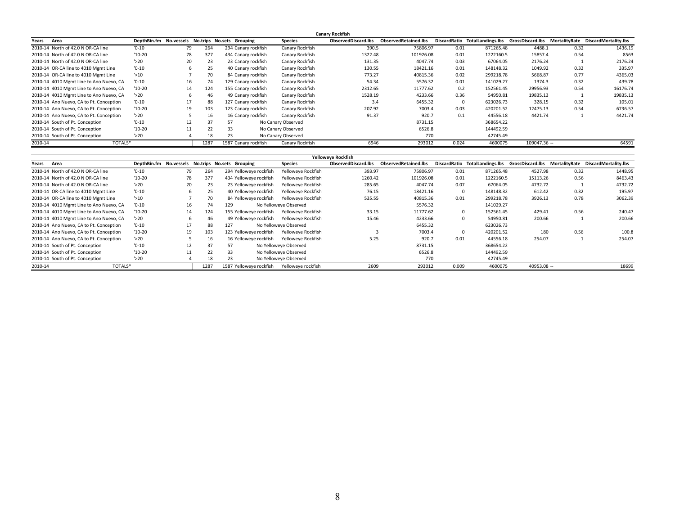|                                         |                  |    |      |                                                  |                    | <b>Canary Rockfish</b> |                             |       |                                                 |              |      |                                    |
|-----------------------------------------|------------------|----|------|--------------------------------------------------|--------------------|------------------------|-----------------------------|-------|-------------------------------------------------|--------------|------|------------------------------------|
| Area<br>Years                           |                  |    |      | DepthBin.fm No.vessels No.trips No.sets Grouping | <b>Species</b>     | ObservedDiscard.lbs    | <b>ObservedRetained.lbs</b> |       | DiscardRatio TotalLandings.lbs GrossDiscard.lbs |              |      | MortalityRate DiscardMortality.lbs |
| 2010-14 North of 42.0 N OR-CA line      | $'0-10'$         | 79 | 264  | 294 Canary rockfish                              | Canary Rockfish    | 390.5                  | 75806.97                    | 0.01  | 871265.48                                       | 4488.1       | 0.32 | 1436.19                            |
| 2010-14 North of 42.0 N OR-CA line      | $'10-20$         | 78 | 377  | 434 Canary rockfish                              | Canary Rockfish    | 1322.48                | 101926.08                   | 0.01  | 1222160.5                                       | 15857.4      | 0.54 | 8563                               |
| 2010-14 North of 42.0 N OR-CA line      | $'$ >20          | 20 | 23   | 23 Canary rockfish                               | Canary Rockfish    | 131.35                 | 4047.74                     | 0.03  | 67064.05                                        | 2176.24      |      | 2176.24                            |
| 2010-14 OR-CA line to 4010 Mgmt Line    | $'0-10'$         |    | 25   | 40 Canary rockfish                               | Canary Rockfish    | 130.55                 | 18421.16                    | 0.01  | 148148.32                                       | 1049.92      | 0.32 | 335.97                             |
| 2010-14 OR-CA line to 4010 Mgmt Line    | $'$ >10          |    | 70   | 84 Canary rockfish                               | Canary Rockfish    | 773.27                 | 40815.36                    | 0.02  | 299218.78                                       | 5668.87      | 0.77 | 4365.03                            |
| 2010-14 4010 Mgmt Line to Ano Nuevo, CA | $'0-10'$         | 16 | 74   | 129 Canary rockfish                              | Canary Rockfish    | 54.34                  | 5576.32                     | 0.01  | 141029.27                                       | 1374.3       | 0.32 | 439.78                             |
| 2010-14 4010 Mgmt Line to Ano Nuevo, CA | $'10-20$         | 14 | 124  | 155 Canary rockfish                              | Canary Rockfish    | 2312.65                | 11777.62                    | 0.2   | 152561.45                                       | 29956.93     | 0.54 | 16176.74                           |
| 2010-14 4010 Mgmt Line to Ano Nuevo, CA | $^{\prime}$ > 20 |    | 46   | 49 Canary rockfish                               | Canary Rockfish    | 1528.19                | 4233.66                     | 0.36  | 54950.81                                        | 19835.13     |      | 19835.13                           |
| 2010-14 Ano Nuevo, CA to Pt. Conception | $'0-10'$         | 17 | 88   | 127 Canary rockfish                              | Canary Rockfish    | 3.4                    | 6455.32                     |       | 623026.73                                       | 328.15       | 0.32 | 105.01                             |
| 2010-14 Ano Nuevo, CA to Pt. Conception | $'10-20$         | 19 | 103  | 123 Canary rockfish                              | Canary Rockfish    | 207.92                 | 7003.4                      | 0.03  | 420201.52                                       | 12475.13     | 0.54 | 6736.57                            |
| 2010-14 Ano Nuevo, CA to Pt. Conception | $'$ >20          |    | 16   | 16 Canary rockfish                               | Canary Rockfish    | 91.37                  | 920.7                       | 0.1   | 44556.18                                        | 4421.74      |      | 4421.74                            |
| 2010-14 South of Pt. Conception         | $'0-10'$         | 12 | 37   | 57                                               | No Canary Observed |                        | 8731.15                     |       | 368654.22                                       |              |      |                                    |
| 2010-14 South of Pt. Conception         | $'10-20$         | 11 | 22   | 33                                               | No Canary Observed |                        | 6526.8                      |       | 144492.59                                       |              |      |                                    |
| 2010-14 South of Pt. Conception         | $'$ >20          |    | 18   | 23                                               | No Canary Observed |                        | 770                         |       | 42745.49                                        |              |      |                                    |
| 2010-14<br>TOTALS*                      |                  |    | 1287 | 1587 Canary rockfish                             | Canary Rockfish    | 6946                   | 293012                      | 0.024 | 4600075                                         | 109047.36 -- |      | 64591                              |

|         |                                         |                                                  |    |      |     |                         |                       | Yelloweye Rockfish  |                             |              |           |              |      |                                                                                    |
|---------|-----------------------------------------|--------------------------------------------------|----|------|-----|-------------------------|-----------------------|---------------------|-----------------------------|--------------|-----------|--------------|------|------------------------------------------------------------------------------------|
| Years   | Area                                    | DepthBin.fm No.vessels No.trips No.sets Grouping |    |      |     |                         | <b>Species</b>        | ObservedDiscard.lbs | <b>ObservedRetained.lbs</b> |              |           |              |      | DiscardRatio TotalLandings.lbs GrossDiscard.lbs MortalityRate DiscardMortality.lbs |
|         | 2010-14 North of 42.0 N OR-CA line      | $'0-10$                                          | 79 | 264  |     | 294 Yelloweve rockfish  | Yelloweye Rockfish    | 393.97              | 75806.97                    | 0.01         | 871265.48 | 4527.98      | 0.32 | 1448.95                                                                            |
|         | 2010-14 North of 42.0 N OR-CA line      | $'10-20$                                         | 78 | 377  |     | 434 Yelloweye rockfish  | Yelloweye Rockfish    | 1260.42             | 101926.08                   | 0.01         | 1222160.5 | 15113.26     | 0.56 | 8463.43                                                                            |
|         | 2010-14 North of 42.0 N OR-CA line      | $'$ >20                                          | 20 | 23   |     | 23 Yelloweye rockfish   | Yelloweve Rockfish    | 285.65              | 4047.74                     | 0.07         | 67064.05  | 4732.72      |      | 4732.72                                                                            |
|         | 2010-14 OR-CA line to 4010 Mgmt Line    | $'0-10'$                                         |    | 25   |     | 40 Yelloweve rockfish   | Yelloweve Rockfish    | 76.15               | 18421.16                    | $\mathbf{0}$ | 148148.32 | 612.42       | 0.32 | 195.97                                                                             |
|         | 2010-14 OR-CA line to 4010 Mgmt Line    | 510                                              |    | 70   |     | 84 Yelloweve rockfish   | Yelloweve Rockfish    | 535.55              | 40815.36                    | 0.01         | 299218.78 | 3926.13      | 0.78 | 3062.39                                                                            |
|         | 2010-14 4010 Mgmt Line to Ano Nuevo, CA | $'0-10'$                                         | 16 | 74   | 129 |                         | No Yelloweye Observed |                     | 5576.32                     |              | 141029.27 |              |      |                                                                                    |
|         | 2010-14 4010 Mgmt Line to Ano Nuevo, CA | $'10-20$                                         | 14 | 124  |     | 155 Yelloweve rockfish  | Yelloweve Rockfish    | 33.15               | 11777.62                    | $\Omega$     | 152561.45 | 429.41       | 0.56 | 240.47                                                                             |
|         | 2010-14 4010 Mgmt Line to Ano Nuevo, CA | 520                                              |    | 46   |     | 49 Yelloweve rockfish   | Yelloweve Rockfish    | 15.46               | 4233.66                     | $\mathbf{0}$ | 54950.81  | 200.66       |      | 200.66                                                                             |
|         | 2010-14 Ano Nuevo, CA to Pt. Conception | $'0-10'$                                         |    | 88   | 127 |                         | No Yelloweye Observed |                     | 6455.32                     |              | 623026.73 |              |      |                                                                                    |
|         | 2010-14 Ano Nuevo, CA to Pt. Conception | $'10-20$                                         | 19 | 103  |     | 123 Yelloweve rockfish  | Yelloweye Rockfish    |                     | 7003.4                      | $\Omega$     | 420201.52 | 180          | 0.56 | 100.8                                                                              |
|         | 2010-14 Ano Nuevo, CA to Pt. Conception | $'$ >20                                          |    | 16   |     | 16 Yelloweve rockfish   | Yelloweve Rockfish    | 5.25                | 920.7                       | 0.01         | 44556.18  | 254.07       |      | 254.07                                                                             |
|         | 2010-14 South of Pt. Conception         | $'0-10$                                          | 12 | 37   | 57  |                         | No Yelloweye Observed |                     | 8731.15                     |              | 368654.22 |              |      |                                                                                    |
|         | 2010-14 South of Pt. Conception         | $'10-20$                                         | 11 | 22   | 33  |                         | No Yelloweye Observed |                     | 6526.8                      |              | 144492.59 |              |      |                                                                                    |
|         | 2010-14 South of Pt. Conception         | $^{\prime}$ > 20                                 |    | 18   | 23  |                         | No Yelloweye Observed |                     | 770                         |              | 42745.49  |              |      |                                                                                    |
| 2010-14 | TOTALS*                                 |                                                  |    | 1287 |     | 1587 Yelloweve rockfish | Yelloweve rockfish    | 2609                | 293012                      | 0.009        | 4600075   | $40953.08 -$ |      | 18699                                                                              |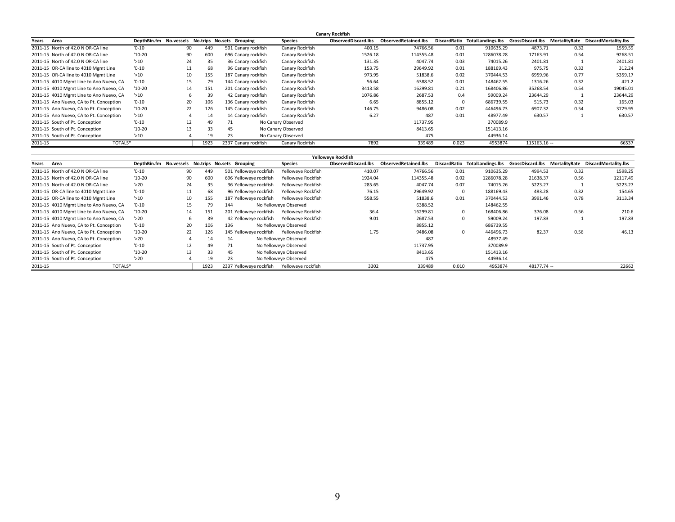|                                         |                  |    |      |                                         |                    | <b>Canary Rockfish</b>     |                             |              |                   |                  |               |                      |
|-----------------------------------------|------------------|----|------|-----------------------------------------|--------------------|----------------------------|-----------------------------|--------------|-------------------|------------------|---------------|----------------------|
| Years<br>Area                           | DepthBin.fm      |    |      | No. vessels No. trips No. sets Grouping | <b>Species</b>     | <b>ObservedDiscard.lbs</b> | <b>ObservedRetained.lbs</b> | DiscardRatio | TotalLandings.lbs | GrossDiscard.lbs | MortalityRate | DiscardMortality.lbs |
| 2011-15 North of 42.0 N OR-CA line      | $'0-10'$         | 90 | 449  | 501 Canary rockfish                     | Canary Rockfish    | 400.15                     | 74766.56                    | 0.01         | 910635.29         | 4873.71          | 0.32          | 1559.59              |
| 2011-15 North of 42.0 N OR-CA line      | $'10-20$         | 90 | 600  | 696 Canary rockfish                     | Canary Rockfish    | 1526.18                    | 114355.48                   | 0.01         | 1286078.28        | 17163.91         | 0.54          | 9268.51              |
| 2011-15 North of 42.0 N OR-CA line      | $'$ >10          | 24 | 35   | 36 Canary rockfish                      | Canary Rockfish    | 131.35                     | 4047.74                     | 0.03         | 74015.26          | 2401.81          |               | 2401.81              |
| 2011-15 OR-CA line to 4010 Mgmt Line    | $'0-10'$         | 11 | 68   | 96 Canary rockfish                      | Canary Rockfish    | 153.75                     | 29649.92                    | 0.01         | 188169.43         | 975.75           | 0.32          | 312.24               |
| 2011-15 OR-CA line to 4010 Mgmt Line    | $'$ >10          | 10 | 155  | 187 Canary rockfish                     | Canary Rockfish    | 973.95                     | 51838.6                     | 0.02         | 370444.53         | 6959.96          | 0.77          | 5359.17              |
| 2011-15 4010 Mgmt Line to Ano Nuevo, CA | $'0-10'$         | 15 | 79   | 144 Canary rockfish                     | Canary Rockfish    | 56.64                      | 6388.52                     | 0.01         | 148462.55         | 1316.26          | 0.32          | 421.2                |
| 2011-15 4010 Mgmt Line to Ano Nuevo, CA | $'10-20$         | 14 | 151  | 201 Canary rockfish                     | Canary Rockfish    | 3413.58                    | 16299.81                    | 0.21         | 168406.86         | 35268.54         | 0.54          | 19045.01             |
| 2011-15 4010 Mgmt Line to Ano Nuevo, CA | $^{\prime}$ > 10 |    | 39   | 42 Canary rockfish                      | Canary Rockfish    | 1076.86                    | 2687.53                     | 0.4          | 59009.24          | 23644.29         |               | 23644.29             |
| 2011-15 Ano Nuevo, CA to Pt. Conception | $'0-10'$         | 20 | 106  | 136 Canary rockfish                     | Canary Rockfish    | 6.65                       | 8855.12                     |              | 686739.55         | 515.73           | 0.32          | 165.03               |
| 2011-15 Ano Nuevo, CA to Pt. Conception | $'10-20$         | 22 | 126  | 145 Canary rockfish                     | Canary Rockfish    | 146.75                     | 9486.08                     | 0.02         | 446496.73         | 6907.32          | 0.54          | 3729.95              |
| 2011-15 Ano Nuevo, CA to Pt. Conception | $'$ >10          |    | 14   | 14 Canary rockfish                      | Canary Rockfish    | 6.27                       | 487                         | 0.01         | 48977.49          | 630.57           |               | 630.57               |
| 2011-15 South of Pt. Conception         | $'0-10'$         | 12 | 49   | 71                                      | No Canary Observed |                            | 11737.95                    |              | 370089.9          |                  |               |                      |
| 2011-15 South of Pt. Conception         | $'10-20$         | 13 | 33   | 45                                      | No Canary Observed |                            | 8413.65                     |              | 151413.16         |                  |               |                      |
| 2011-15 South of Pt. Conception         | $^{\prime}$ > 10 |    | 19   | 23                                      | No Canary Observed |                            | 475                         |              | 44936.14          |                  |               |                      |
| 2011-15<br>TOTALS*                      |                  |    | 1923 | 2337 Canary rockfish                    | Canary Rockfish    | 7892                       | 339489                      | 0.023        | 4953874           | 115163.16 --     |               | 66537                |

|         |                                         |                                                  |    |      |     |                         |                       | Yelloweye Rockfish  |                      |              |            |              |      |                                                                                    |
|---------|-----------------------------------------|--------------------------------------------------|----|------|-----|-------------------------|-----------------------|---------------------|----------------------|--------------|------------|--------------|------|------------------------------------------------------------------------------------|
| Years   | Area                                    | DepthBin.fm No.vessels No.trips No.sets Grouping |    |      |     |                         | <b>Species</b>        | ObservedDiscard.lbs | ObservedRetained.lbs |              |            |              |      | DiscardRatio TotalLandings.lbs GrossDiscard.lbs MortalityRate DiscardMortality.lbs |
|         | 2011-15 North of 42.0 N OR-CA line      | $'0-10$                                          | 90 | 449  |     | 501 Yelloweye rockfish  | Yelloweye Rockfish    | 410.07              | 74766.56             | 0.01         | 910635.29  | 4994.53      | 0.32 | 1598.25                                                                            |
|         | 2011-15 North of 42.0 N OR-CA line      | $'10-20$                                         | 90 | 600  |     | 696 Yelloweye rockfish  | Yelloweye Rockfish    | 1924.04             | 114355.48            | 0.02         | 1286078.28 | 21638.37     | 0.56 | 12117.49                                                                           |
|         | 2011-15 North of 42.0 N OR-CA line      | $'$ >20                                          | 24 | 35   |     | 36 Yelloweve rockfish   | Yelloweve Rockfish    | 285.65              | 4047.74              | 0.07         | 74015.26   | 5223.27      |      | 5223.27                                                                            |
|         | 2011-15 OR-CA line to 4010 Mgmt Line    | $'0-10'$                                         | 11 | 68   |     | 96 Yelloweve rockfish   | Yelloweve Rockfish    | 76.15               | 29649.92             | $\mathbf{0}$ | 188169.43  | 483.28       | 0.32 | 154.65                                                                             |
|         | 2011-15 OR-CA line to 4010 Mgmt Line    | 510                                              | 10 | 155  |     | 187 Yelloweve rockfish  | Yelloweve Rockfish    | 558.55              | 51838.6              | 0.01         | 370444.53  | 3991.46      | 0.78 | 3113.34                                                                            |
|         | 2011-15 4010 Mgmt Line to Ano Nuevo, CA | $'0-10'$                                         | 15 | 79   | 144 |                         | No Yelloweye Observed |                     | 6388.52              |              | 148462.55  |              |      |                                                                                    |
|         | 2011-15 4010 Mgmt Line to Ano Nuevo, CA | $'10-20$                                         | 14 | 151  |     | 201 Yelloweve rockfish  | Yelloweye Rockfish    | 36.4                | 16299.81             | $\Omega$     | 168406.86  | 376.08       | 0.56 | 210.6                                                                              |
|         | 2011-15 4010 Mgmt Line to Ano Nuevo, CA | 520                                              |    | 39   |     | 42 Yelloweve rockfish   | Yelloweve Rockfish    | 9.01                | 2687.53              | $\Omega$     | 59009.24   | 197.83       |      | 197.83                                                                             |
|         | 2011-15 Ano Nuevo, CA to Pt. Conception | $'0-10'$                                         | 20 | 106  | 136 |                         | No Yelloweye Observed |                     | 8855.12              |              | 686739.55  |              |      |                                                                                    |
|         | 2011-15 Ano Nuevo, CA to Pt. Conception | $'10-20$                                         | 22 | 126  |     | 145 Yelloweve rockfish  | Yelloweve Rockfish    | 1.75                | 9486.08              | $\Omega$     | 446496.73  | 82.37        | 0.56 | 46.13                                                                              |
|         | 2011-15 Ano Nuevo, CA to Pt. Conception | $'$ >20                                          |    | 14   | 14  |                         | No Yelloweye Observed |                     | 487                  |              | 48977.49   |              |      |                                                                                    |
|         | 2011-15 South of Pt. Conception         | $'0-10$                                          | 12 | 49   | 71  |                         | No Yelloweye Observed |                     | 11737.95             |              | 370089.9   |              |      |                                                                                    |
|         | 2011-15 South of Pt. Conception         | $'10-20$                                         | 13 | 33   | 45  |                         | No Yelloweve Observed |                     | 8413.65              |              | 151413.16  |              |      |                                                                                    |
|         | 2011-15 South of Pt. Conception         | $'$ >20                                          |    | 19   | 23  |                         | No Yelloweye Observed |                     | 475                  |              | 44936.14   |              |      |                                                                                    |
| 2011-15 | TOTALS*                                 |                                                  |    | 1923 |     | 2337 Yelloweye rockfish | Yelloweve rockfish    | 3302                | 339489               | 0.010        | 4953874    | $48177.74 -$ |      | 22662                                                                              |